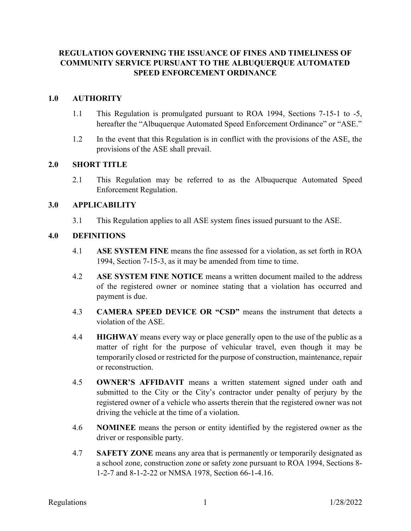# REGULATION GOVERNING THE ISSUANCE OF FINES AND TIMELINESS OF COMMUNITY SERVICE PURSUANT TO THE ALBUQUERQUE AUTOMATED SPEED ENFORCEMENT ORDINANCE

# 1.0 AUTHORITY

- 1.1 This Regulation is promulgated pursuant to ROA 1994, Sections 7-15-1 to -5, hereafter the "Albuquerque Automated Speed Enforcement Ordinance" or "ASE."
- 1.2 In the event that this Regulation is in conflict with the provisions of the ASE, the provisions of the ASE shall prevail.

### 2.0 SHORT TITLE

2.1 This Regulation may be referred to as the Albuquerque Automated Speed Enforcement Regulation.

# 3.0 APPLICABILITY

3.1 This Regulation applies to all ASE system fines issued pursuant to the ASE.

# 4.0 DEFINITIONS

- 4.1 ASE SYSTEM FINE means the fine assessed for a violation, as set forth in ROA 1994, Section 7-15-3, as it may be amended from time to time.
- 4.2 ASE SYSTEM FINE NOTICE means a written document mailed to the address of the registered owner or nominee stating that a violation has occurred and payment is due.
- 4.3 CAMERA SPEED DEVICE OR "CSD" means the instrument that detects a violation of the ASE.
- 4.4 HIGHWAY means every way or place generally open to the use of the public as a matter of right for the purpose of vehicular travel, even though it may be temporarily closed or restricted for the purpose of construction, maintenance, repair or reconstruction.
- 4.5 OWNER'S AFFIDAVIT means a written statement signed under oath and submitted to the City or the City's contractor under penalty of perjury by the registered owner of a vehicle who asserts therein that the registered owner was not driving the vehicle at the time of a violation.
- 4.6 NOMINEE means the person or entity identified by the registered owner as the driver or responsible party.
- 4.7 SAFETY ZONE means any area that is permanently or temporarily designated as a school zone, construction zone or safety zone pursuant to ROA 1994, Sections 8- 1-2-7 and 8-1-2-22 or NMSA 1978, Section 66-1-4.16.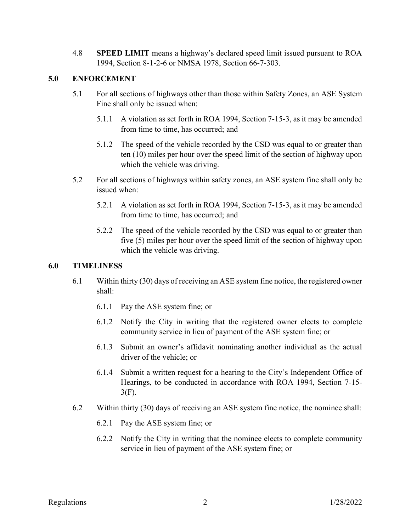4.8 SPEED LIMIT means a highway's declared speed limit issued pursuant to ROA 1994, Section 8-1-2-6 or NMSA 1978, Section 66-7-303.

# 5.0 ENFORCEMENT

- 5.1 For all sections of highways other than those within Safety Zones, an ASE System Fine shall only be issued when:
	- 5.1.1 A violation as set forth in ROA 1994, Section 7-15-3, as it may be amended from time to time, has occurred; and
	- 5.1.2 The speed of the vehicle recorded by the CSD was equal to or greater than ten (10) miles per hour over the speed limit of the section of highway upon which the vehicle was driving.
- 5.2 For all sections of highways within safety zones, an ASE system fine shall only be issued when:
	- 5.2.1 A violation as set forth in ROA 1994, Section 7-15-3, as it may be amended from time to time, has occurred; and
	- 5.2.2 The speed of the vehicle recorded by the CSD was equal to or greater than five (5) miles per hour over the speed limit of the section of highway upon which the vehicle was driving.

### 6.0 TIMELINESS

- 6.1 Within thirty (30) days of receiving an ASE system fine notice, the registered owner shall:
	- 6.1.1 Pay the ASE system fine; or
	- 6.1.2 Notify the City in writing that the registered owner elects to complete community service in lieu of payment of the ASE system fine; or
	- 6.1.3 Submit an owner's affidavit nominating another individual as the actual driver of the vehicle; or
	- 6.1.4 Submit a written request for a hearing to the City's Independent Office of Hearings, to be conducted in accordance with ROA 1994, Section 7-15- 3(F).
- 6.2 Within thirty (30) days of receiving an ASE system fine notice, the nominee shall:
	- 6.2.1 Pay the ASE system fine; or
	- 6.2.2 Notify the City in writing that the nominee elects to complete community service in lieu of payment of the ASE system fine; or